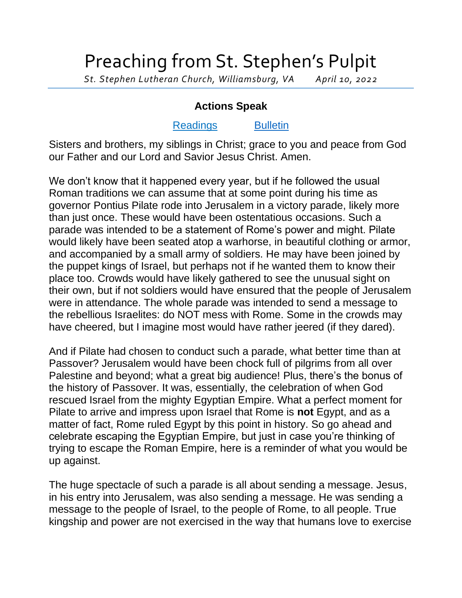## Preaching from St. Stephen's Pulpit

*St. Stephen Lutheran Church, Williamsburg, VA April 10, 2022*

## **Actions Speak**

## [Readings](https://lectionarypage.net/YearC_RCL/HolyDays/CPalmSun_RCL.html) [Bulletin](http://www.saintstephenlutheran.net/sunday-bulletins/)

Sisters and brothers, my siblings in Christ; grace to you and peace from God our Father and our Lord and Savior Jesus Christ. Amen.

We don't know that it happened every year, but if he followed the usual Roman traditions we can assume that at some point during his time as governor Pontius Pilate rode into Jerusalem in a victory parade, likely more than just once. These would have been ostentatious occasions. Such a parade was intended to be a statement of Rome's power and might. Pilate would likely have been seated atop a warhorse, in beautiful clothing or armor, and accompanied by a small army of soldiers. He may have been joined by the puppet kings of Israel, but perhaps not if he wanted them to know their place too. Crowds would have likely gathered to see the unusual sight on their own, but if not soldiers would have ensured that the people of Jerusalem were in attendance. The whole parade was intended to send a message to the rebellious Israelites: do NOT mess with Rome. Some in the crowds may have cheered, but I imagine most would have rather jeered (if they dared).

And if Pilate had chosen to conduct such a parade, what better time than at Passover? Jerusalem would have been chock full of pilgrims from all over Palestine and beyond; what a great big audience! Plus, there's the bonus of the history of Passover. It was, essentially, the celebration of when God rescued Israel from the mighty Egyptian Empire. What a perfect moment for Pilate to arrive and impress upon Israel that Rome is **not** Egypt, and as a matter of fact, Rome ruled Egypt by this point in history. So go ahead and celebrate escaping the Egyptian Empire, but just in case you're thinking of trying to escape the Roman Empire, here is a reminder of what you would be up against.

The huge spectacle of such a parade is all about sending a message. Jesus, in his entry into Jerusalem, was also sending a message. He was sending a message to the people of Israel, to the people of Rome, to all people. True kingship and power are not exercised in the way that humans love to exercise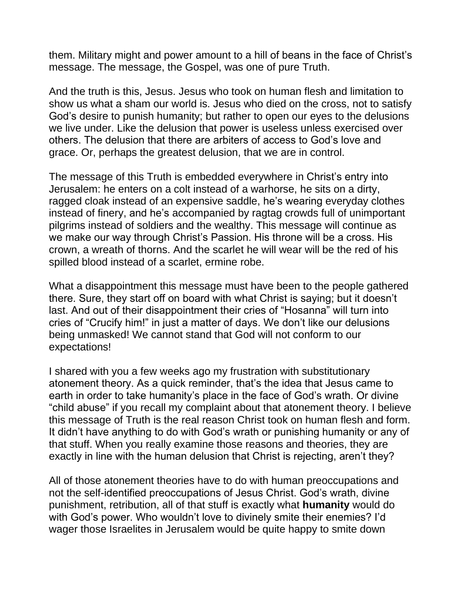them. Military might and power amount to a hill of beans in the face of Christ's message. The message, the Gospel, was one of pure Truth.

And the truth is this, Jesus. Jesus who took on human flesh and limitation to show us what a sham our world is. Jesus who died on the cross, not to satisfy God's desire to punish humanity; but rather to open our eyes to the delusions we live under. Like the delusion that power is useless unless exercised over others. The delusion that there are arbiters of access to God's love and grace. Or, perhaps the greatest delusion, that we are in control.

The message of this Truth is embedded everywhere in Christ's entry into Jerusalem: he enters on a colt instead of a warhorse, he sits on a dirty, ragged cloak instead of an expensive saddle, he's wearing everyday clothes instead of finery, and he's accompanied by ragtag crowds full of unimportant pilgrims instead of soldiers and the wealthy. This message will continue as we make our way through Christ's Passion. His throne will be a cross. His crown, a wreath of thorns. And the scarlet he will wear will be the red of his spilled blood instead of a scarlet, ermine robe.

What a disappointment this message must have been to the people gathered there. Sure, they start off on board with what Christ is saying; but it doesn't last. And out of their disappointment their cries of "Hosanna" will turn into cries of "Crucify him!" in just a matter of days. We don't like our delusions being unmasked! We cannot stand that God will not conform to our expectations!

I shared with you a few weeks ago my frustration with substitutionary atonement theory. As a quick reminder, that's the idea that Jesus came to earth in order to take humanity's place in the face of God's wrath. Or divine "child abuse" if you recall my complaint about that atonement theory. I believe this message of Truth is the real reason Christ took on human flesh and form. It didn't have anything to do with God's wrath or punishing humanity or any of that stuff. When you really examine those reasons and theories, they are exactly in line with the human delusion that Christ is rejecting, aren't they?

All of those atonement theories have to do with human preoccupations and not the self-identified preoccupations of Jesus Christ. God's wrath, divine punishment, retribution, all of that stuff is exactly what **humanity** would do with God's power. Who wouldn't love to divinely smite their enemies? I'd wager those Israelites in Jerusalem would be quite happy to smite down